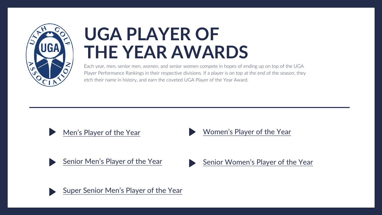

# **UGA PLAYER OF THE YEAR AWARDS**

Each year, men, senior men, women, and senior women compete in hopes of ending up on top of the UGA Player Performance Rankings in their respective divisions. If a player is on top at the end of the season, they etch their name in history, and earn the coveted UGA Player of the Year Award.





[Women's Player of the Year](#page-3-0)



[Senior Men's Player of the Year](#page-2-0)



[Senior Women's Player of the Year](#page-4-0)



[Super Senior Men's Player of the Year](#page-5-0)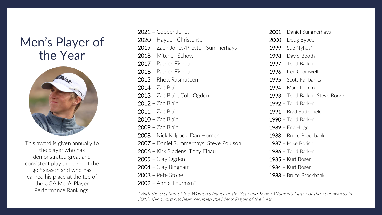# <span id="page-1-0"></span>Men's Player of the Year



This award is given annually to the player who has demonstrated great and consistent play throughout the golf season and who has earned his place at the top of the UGA Men's Player Performance Rankings.

– Cooper Jones – Hayden Christensen – Zach Jones/Preston Summerhays – Mitchell Schow – Patrick Fishburn – Patrick Fishburn – Rhett Rasmussen – Zac Blair – Zac Blair, Cole Ogden – Zac Blair – Zac Blair – Zac Blair – Zac Blair – Nick Killpack, Dan Horner – Daniel Summerhays, Steve Poulson – Kirk Siddens, Tony Finau – Clay Ogden – Clay Bingham – Pete Stone – Annie Thurman\*

 – Daniel Summerhays – Doug Bybee – Sue Nyhus $*$  – David Booth – Todd Barker – Ken Cromwell – Scott Fairbanks – Mark Domm – Todd Barker, Steve Borget – Todd Barker – Brad Sutterfield – Todd Barker – Eric Hogg – Bruce Brockbank – Mike Borich – Todd Barker – Kurt Bosen – Kurt Bosen – Bruce Brockbank

\*With the creation of the Women's Player of the Year and Senior Women's Player of the Year awards in 2012, this award has been renamed the Men's Player of the Year.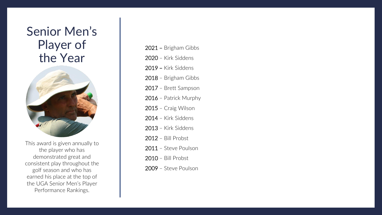### <span id="page-2-0"></span>Senior Men's Player of the Year



This award is given annually to the player who has demonstrated great and consistent play throughout the golf season and who has earned his place at the top of the UGA Senior Men's Player Performance Rankings.

– Brigham Gibbs – Kirk Siddens – Kirk Siddens – Brigham Gibbs – Brett Sampson – Patrick Murphy – Craig Wilson – Kirk Siddens – Kirk Siddens – Bill Probst – Steve Poulson – Bill Probst – Steve Poulson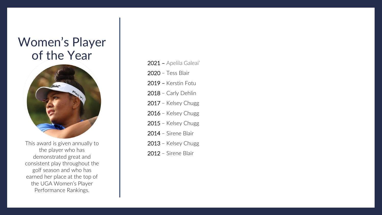# <span id="page-3-0"></span>Women's Player of the Year



This award is given annually to the player who has demonstrated great and consistent play throughout the golf season and who has earned her place at the top of the UGA Women's Player Performance Rankings.

- 2021 Apelila Galeai' 2020 – Tess Blair 2019 – Kerstin Fotu 2018 – Carly Dehlin 2017 – Kelsey Chugg 2016 – Kelsey Chugg 2015 – Kelsey Chugg 2014 – Sirene Blair 2013 – Kelsey Chugg
- 2012 Sirene Blair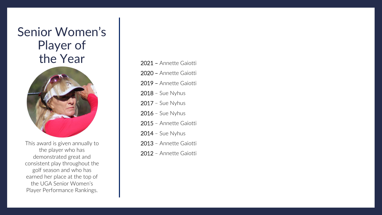# <span id="page-4-0"></span>Senior Women's Player of the Year



This award is given annually to the player who has demonstrated great and consistent play throughout the golf season and who has earned her place at the top of the UGA Senior Women's Player Performance Rankings.

– Annette Gaiotti – Annette Gaiotti – Annette Gaiotti – Sue Nyhus – Sue Nyhus – Sue Nyhus – Annette Gaiotti – Sue Nyhus – Annette Gaiotti – Annette Gaiotti